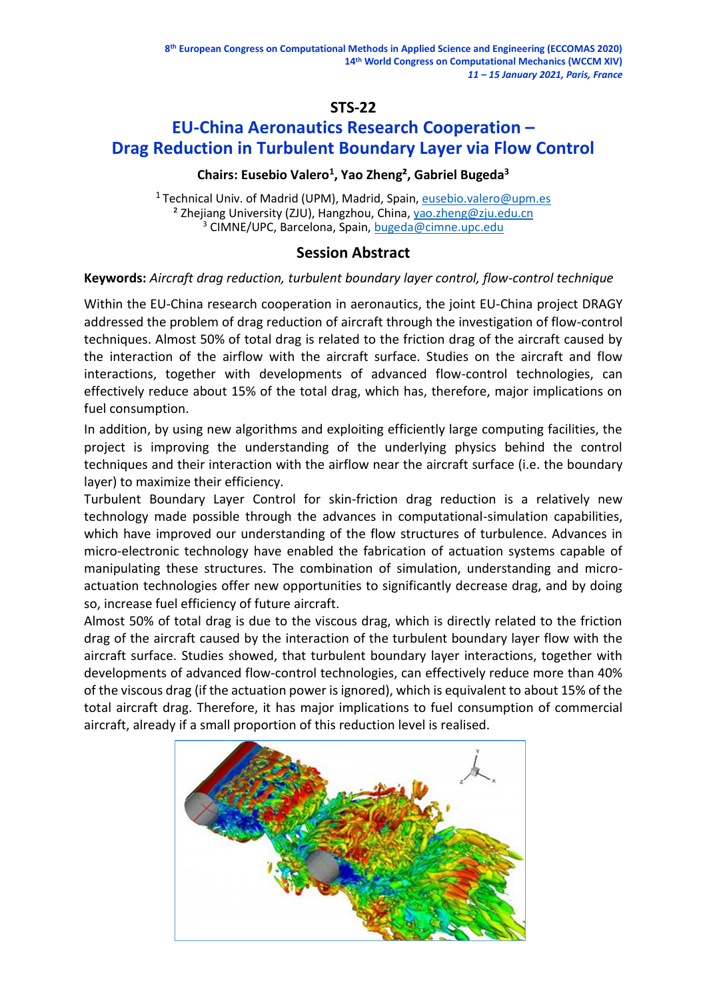# **STS-22**

# **EU-China Aeronautics Research Cooperation – Drag Reduction in Turbulent Boundary Layer via Flow Control**

# **Chairs: Eusebio Valero<sup>1</sup> , Yao Zheng², Gabriel Bugeda<sup>3</sup>**

<sup>1</sup> Technical Univ. of Madrid (UPM), Madrid, Spain, [eusebio.valero@upm.es](mailto:eusebio.valero@upm.es) <sup>2</sup> Zhejiang University (ZJU), Hangzhou, China, [yao.zheng@zju.edu.cn](mailto:yao.zheng@zju.edu.cn) <sup>3</sup> CIMNE/UPC, Barcelona, Spain, [bugeda@cimne.upc.edu](mailto:bugeda@cimne.upc.edu)

# **Session Abstract**

### **Keywords:** *Aircraft drag reduction, turbulent boundary layer control, flow-control technique*

Within the EU-China research cooperation in aeronautics, the joint EU-China project DRAGY addressed the problem of drag reduction of aircraft through the investigation of flow-control techniques. Almost 50% of total drag is related to the friction drag of the aircraft caused by the interaction of the airflow with the aircraft surface. Studies on the aircraft and flow interactions, together with developments of advanced flow-control technologies, can effectively reduce about 15% of the total drag, which has, therefore, major implications on fuel consumption.

In addition, by using new algorithms and exploiting efficiently large computing facilities, the project is improving the understanding of the underlying physics behind the control techniques and their interaction with the airflow near the aircraft surface (i.e. the boundary layer) to maximize their efficiency.

Turbulent Boundary Layer Control for skin-friction drag reduction is a relatively new technology made possible through the advances in computational-simulation capabilities, which have improved our understanding of the flow structures of turbulence. Advances in micro-electronic technology have enabled the fabrication of actuation systems capable of manipulating these structures. The combination of simulation, understanding and microactuation technologies offer new opportunities to significantly decrease drag, and by doing so, increase fuel efficiency of future aircraft.

Almost 50% of total drag is due to the viscous drag, which is directly related to the friction drag of the aircraft caused by the interaction of the turbulent boundary layer flow with the aircraft surface. Studies showed, that turbulent boundary layer interactions, together with developments of advanced flow-control technologies, can effectively reduce more than 40% of the viscous drag (if the actuation power is ignored), which is equivalent to about 15% of the total aircraft drag. Therefore, it has major implications to fuel consumption of commercial aircraft, already if a small proportion of this reduction level is realised.